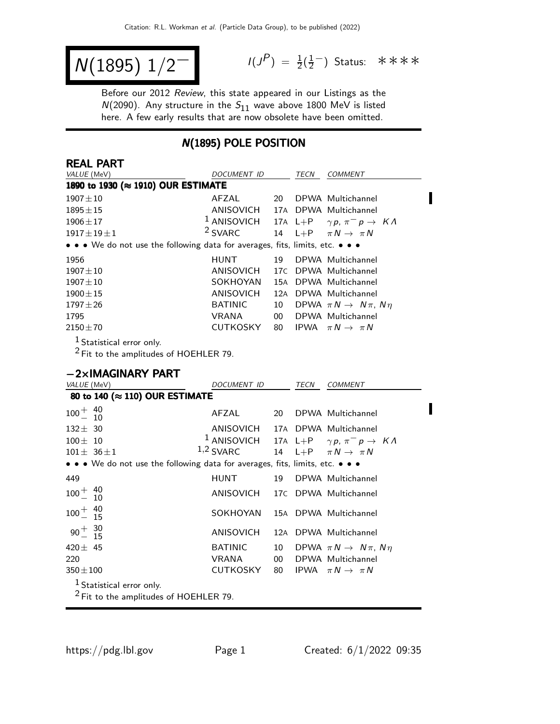$$
N(1895) \; 1/2^{-1} \qquad \qquad ^{1/3}
$$

REAL PART

 $P$ ) =  $\frac{1}{2}(\frac{1}{2})$  $\frac{1}{2}$  Status: \*\*\*\*

П

Before our 2012 Review, this state appeared in our Listings as the  $N(2090)$ . Any structure in the  $S_{11}$  wave above 1800 MeV is listed here. A few early results that are now obsolete have been omitted.

#### N(1895) POLE POSITION

| <i>DOCUMENT ID</i> |                                                                           | TECN        | <b>COMMENT</b>                                                                                                    |
|--------------------|---------------------------------------------------------------------------|-------------|-------------------------------------------------------------------------------------------------------------------|
|                    |                                                                           |             |                                                                                                                   |
| AFZAL              | 20                                                                        |             | DPWA Multichannel                                                                                                 |
| ANISOVICH          |                                                                           |             | 17A DPWA Multichannel                                                                                             |
|                    |                                                                           |             | 17A L+P $\gamma p, \pi^- p \rightarrow K \Lambda$                                                                 |
|                    |                                                                           |             |                                                                                                                   |
|                    |                                                                           |             |                                                                                                                   |
| <b>HUNT</b>        | 19                                                                        |             | DPWA Multichannel                                                                                                 |
|                    | 17C                                                                       |             | DPWA Multichannel                                                                                                 |
| SOKHOYAN           | 15A                                                                       |             | DPWA Multichannel                                                                                                 |
| ANISOVICH          | 12A                                                                       |             | DPWA Multichannel                                                                                                 |
| <b>BATINIC</b>     | 10                                                                        |             | DPWA $\pi N \rightarrow N \pi$ , $N \eta$                                                                         |
| VRANA              | 00 <sup>°</sup>                                                           |             | DPWA Multichannel                                                                                                 |
| <b>CUTKOSKY</b>    | 80                                                                        | <b>IPWA</b> | $\pi N \rightarrow \pi N$                                                                                         |
|                    | 1890 to 1930 (≈ 1910) OUR ESTIMATE<br>$1$ ANISOVICH<br><sup>2</sup> SVARC | ANISOVICH   | 14 L+P $\pi N \rightarrow \pi N$<br>• • • We do not use the following data for averages, fits, limits, etc. • • • |

 $1$  Statistical error only.

 $^2$  Fit to the amplitudes of HOEHLER 79.

#### −2×IMAGINARY PART

| VALUE (MeV)                                                                                                           | DOCUMENT ID                                    |     | <b>TECN</b> | <b>COMMENT</b>                                                                                          |
|-----------------------------------------------------------------------------------------------------------------------|------------------------------------------------|-----|-------------|---------------------------------------------------------------------------------------------------------|
| 80 to 140 (≈ 110) OUR ESTIMATE                                                                                        |                                                |     |             |                                                                                                         |
| $100^{+}_{-}$ $^{40}_{10}$<br>10                                                                                      | AFZAL                                          | 20  |             | DPWA Multichannel                                                                                       |
| $132 \pm 30$<br>$100 \pm 10$<br>$101 \pm 36 \pm 1$                                                                    | ANISOVICH 17A DPWA Multichannel<br>$1,2$ SVARC |     |             | <sup>1</sup> ANISOVICH 17A L+P $\gamma p$ , $\pi^- p \to K \Lambda$<br>14 L+P $\pi N \rightarrow \pi N$ |
| $\bullet \bullet \bullet$ We do not use the following data for averages, fits, limits, etc. $\bullet \bullet \bullet$ |                                                |     |             |                                                                                                         |
| 449                                                                                                                   | <b>HUNT</b>                                    | 19  |             | DPWA Multichannel                                                                                       |
| $100^{+}_{-}$ $^{40}_{10}$                                                                                            | ANISOVICH 17C DPWA Multichannel                |     |             |                                                                                                         |
| $100^{+}_{-}$ $^{40}_{15}$                                                                                            | SOKHOYAN 15A DPWA Multichannel                 |     |             |                                                                                                         |
| $90^{+}_{-}$ $^{30}_{15}$                                                                                             | ANISOVICH                                      | 12A |             | DPWA Multichannel                                                                                       |
| 420 $\pm$ 45<br>220<br>$350 \pm 100$                                                                                  | <b>BATINIC</b><br>VRANA<br>CUTKOSKY            | 00  |             | 10 DPWA $\pi N \rightarrow N \pi$ , $N \eta$<br>DPWA Multichannel<br>80 IPWA $\pi N \rightarrow \pi N$  |
| $1$ Statistical error only.<br>$2$ Fit to the amplitudes of HOEHLER 79.                                               |                                                |     |             |                                                                                                         |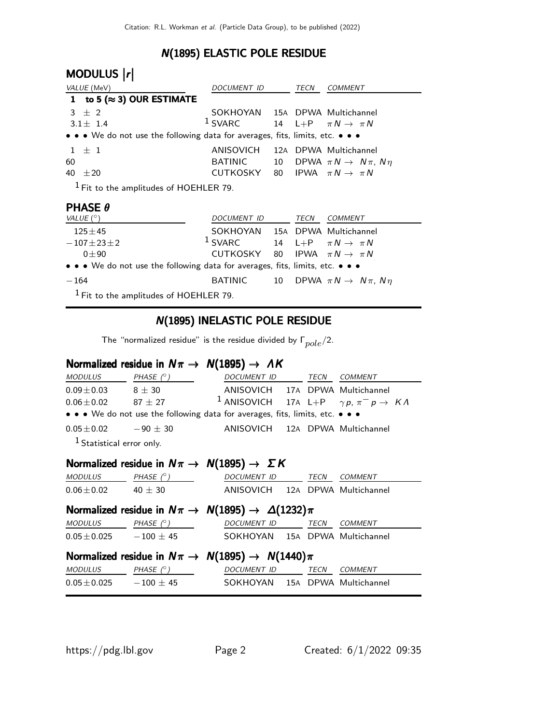### N(1895) ELASTIC POLE RESIDUE

| MODULUS  r                                                                                                            |                                |    |      |                                           |
|-----------------------------------------------------------------------------------------------------------------------|--------------------------------|----|------|-------------------------------------------|
| VALUE (MeV)                                                                                                           | DOCUMENT ID                    |    | TECN | <b>COMMENT</b>                            |
| to 5 ( $\approx$ 3) OUR ESTIMATE<br>1                                                                                 |                                |    |      |                                           |
| $3 \pm 2$                                                                                                             | SOKHOYAN 15A DPWA Multichannel |    |      |                                           |
| $3.1 + 1.4$                                                                                                           | $1$ SVARC                      |    |      | 14 L+P $\pi N \rightarrow \pi N$          |
| $\bullet \bullet \bullet$ We do not use the following data for averages, fits, limits, etc. $\bullet \bullet \bullet$ |                                |    |      |                                           |
| $+1$<br>1.                                                                                                            | ANISOVICH                      |    |      | 12A DPWA Multichannel                     |
| 60                                                                                                                    | <b>BATINIC</b>                 | 10 |      | DPWA $\pi N \rightarrow N \pi$ , $N \eta$ |
| 40<br>$\pm 20$                                                                                                        | CUTKOSKY                       | 80 |      | IPWA $\pi N \rightarrow \pi N$            |
| $1$ Fit to the amplitudes of HOEHLER 79.                                                                              |                                |    |      |                                           |
| <b>PHASE <math>\theta</math></b>                                                                                      |                                |    |      |                                           |
| VALUE $(^\circ)$                                                                                                      | DOCUMENT ID                    |    | TECN | <b>COMMENT</b>                            |
| $125 + 45$                                                                                                            | SOKHOYAN                       |    |      | 15A DPWA Multichannel                     |
| $-107 \pm 23 \pm 2$                                                                                                   | $1$ SVARC                      | 14 |      | L+P $\pi N \rightarrow \pi N$             |
| $0 \pm 90$                                                                                                            | CUTKOSKY                       | 80 |      | IPWA $\pi N \rightarrow \pi N$            |
| $\bullet \bullet \bullet$ We do not use the following data for averages, fits, limits, etc. $\bullet \bullet \bullet$ |                                |    |      |                                           |
| $-164$                                                                                                                | BATINIC                        | 10 |      | DPWA $\pi N \rightarrow N \pi$ , $N \eta$ |
| $\mathbf 1$                                                                                                           |                                |    |      |                                           |

 $<sup>1</sup>$  Fit to the amplitudes of HOEHLER 79.</sup>

#### N(1895) INELASTIC POLE RESIDUE

The "normalized residue" is the residue divided by  $\Gamma_{pole}/2$ .

### Normalized residue in  $N\pi \rightarrow N(1895) \rightarrow AK$

| MODULUS PHASE $(^\circ)$             |                    | DOCUMENT ID                                                                   | TECN | COMMENT        |
|--------------------------------------|--------------------|-------------------------------------------------------------------------------|------|----------------|
| $0.09 \pm 0.03$ 8 $\pm$ 30           |                    | ANISOVICH 17A DPWA Multichannel                                               |      |                |
| $0.06 \pm 0.02$                      | $87 \pm 27$        | <sup>1</sup> ANISOVICH 17A L+P $\gamma p$ , $\pi^- p \to K \Lambda$           |      |                |
|                                      |                    | • • • We do not use the following data for averages, fits, limits, etc. • • • |      |                |
| $0.05 \pm 0.02$ $-90 \pm 30$         |                    | ANISOVICH 12A DPWA Multichannel                                               |      |                |
| <sup>1</sup> Statistical error only. |                    |                                                                               |      |                |
|                                      |                    | Normalized residue in $N\pi \rightarrow N(1895) \rightarrow \Sigma K$         |      |                |
| <b>MODULUS</b>                       | $PHASE$ $(^\circ)$ | DOCUMENT ID TECN                                                              |      | <b>COMMENT</b> |
| $0.06 \pm 0.02$ 40 $\pm$ 30          |                    | ANISOVICH 12A DPWA Multichannel                                               |      |                |
|                                      |                    | Normalized residue in $N\pi \to N(1895) \to \Delta(1232)\pi$                  |      |                |
| <b>MODULUS</b>                       | $PHASE$ $(^\circ)$ | <b>DOCUMENT ID</b>                                                            | TECN | <b>COMMENT</b> |
| $0.05 \pm 0.025$ $-100 \pm 45$       |                    | SOKHOYAN 15A DPWA Multichannel                                                |      |                |
|                                      |                    | Normalized residue in $N\pi \rightarrow N(1895) \rightarrow N(1440)\pi$       |      |                |
| <b>MODULUS</b>                       | PHASE (° )         | <b>DOCUMENT ID</b>                                                            | TECN | <b>COMMENT</b> |
| $0.05 \pm 0.025$ $-100 \pm 45$       |                    | SOKHOYAN 15A DPWA Multichannel                                                |      |                |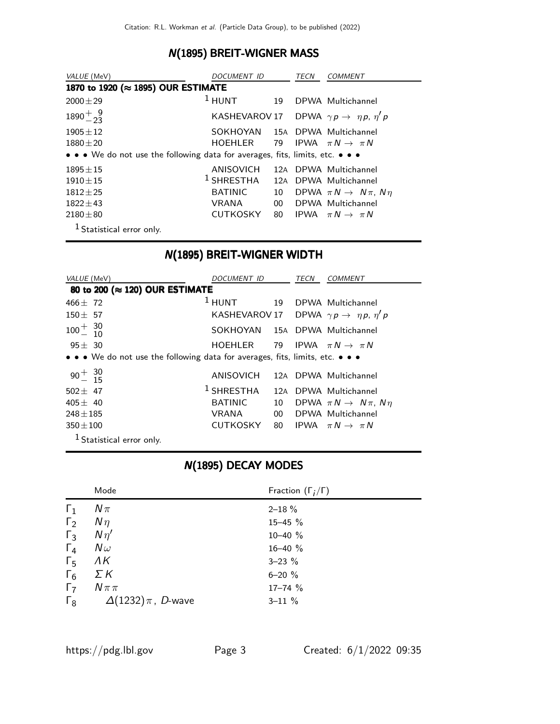### N(1895) BREIT-WIGNER MASS

| VALUE (MeV)                                                                   | DOCUMENT ID     |                 | TECN | <i>COMMENT</i>                                               |
|-------------------------------------------------------------------------------|-----------------|-----------------|------|--------------------------------------------------------------|
| 1870 to 1920 (≈ 1895) OUR ESTIMATE                                            |                 |                 |      |                                                              |
| $2000 \pm 29$                                                                 | $1$ HUNT        | 19              |      | DPWA Multichannel                                            |
| $1890 + \frac{9}{23}$                                                         |                 |                 |      | KASHEVAROV 17 DPWA $\gamma p \rightarrow \eta p$ , $\eta' p$ |
| $1905 + 12$                                                                   | SOKHOYAN        |                 |      | 15A DPWA Multichannel                                        |
| $1880 \pm 20$                                                                 | HOEHLER         | 79              |      | IPWA $\pi N \rightarrow \pi N$                               |
| • • • We do not use the following data for averages, fits, limits, etc. • • • |                 |                 |      |                                                              |
| $1895 + 15$                                                                   | ANISOVICH       | 12A             |      | DPWA Multichannel                                            |
| $1910 + 15$                                                                   | $^1$ SHRESTHA   | 12A             |      | DPWA Multichannel                                            |
| $1812 + 25$                                                                   | <b>BATINIC</b>  | 10              |      | DPWA $\pi N \rightarrow N \pi$ , Nn                          |
| $1822 + 43$                                                                   | <b>VRANA</b>    | 00 <sup>°</sup> |      | DPWA Multichannel                                            |
| $2180 \pm 80$                                                                 | <b>CUTKOSKY</b> | 80              |      | IPWA $\pi N \rightarrow \pi N$                               |
| <sup>1</sup> Statistical error only.                                          |                 |                 |      |                                                              |

#### N(1895) BREIT-WIGNER WIDTH

| VALUE (MeV)                                                                                                           | <i>DOCUMENT ID</i>                        |                 | TECN | <b>COMMENT</b>                                            |
|-----------------------------------------------------------------------------------------------------------------------|-------------------------------------------|-----------------|------|-----------------------------------------------------------|
| 80 to 200 (≈ 120) OUR ESTIMATE                                                                                        |                                           |                 |      |                                                           |
| $466 \pm 72$                                                                                                          | $1$ HUNT                                  |                 |      | 19 DPWA Multichannel                                      |
| $150 \pm 57$                                                                                                          |                                           |                 |      | KASHEVAROV 17 DPWA $\gamma p \rightarrow \eta p, \eta' p$ |
| $100^{+}_{-}$ $^{30}_{10}$                                                                                            | SOKHOYAN 15A DPWA Multichannel            |                 |      |                                                           |
| $95 \pm 30$                                                                                                           | HOEHLER 79 IPWA $\pi N \rightarrow \pi N$ |                 |      |                                                           |
| $\bullet \bullet \bullet$ We do not use the following data for averages, fits, limits, etc. $\bullet \bullet \bullet$ |                                           |                 |      |                                                           |
| $90^{+}_{-}$ $^{30}_{15}$                                                                                             | ANISOVICH                                 |                 |      | 12A DPWA Multichannel                                     |
| $502 + 47$                                                                                                            | $^1$ SHRESTHA                             |                 |      | 12A DPWA Multichannel                                     |
| $405 \pm 40$                                                                                                          | <b>BATINIC</b>                            | 10              |      | DPWA $\pi N \rightarrow N \pi$ , $N \eta$                 |
| $248 \pm 185$                                                                                                         | VRANA                                     | 00 <sup>1</sup> |      | DPWA Multichannel                                         |
| $350 \pm 100$                                                                                                         | <b>CUTKOSKY</b>                           | 80              |      | IPWA $\pi N \rightarrow \pi N$                            |
| <sup>1</sup> Statistical error only.                                                                                  |                                           |                 |      |                                                           |

## N(1895) DECAY MODES

|            | Mode                              | Fraction $(\Gamma_i/\Gamma)$ |
|------------|-----------------------------------|------------------------------|
| $\Gamma_1$ | $N\pi$                            | $2 - 18 \%$                  |
| $\Gamma_2$ | $N\eta$                           | $15 - 45$ %                  |
| $\Gamma_3$ | $N\eta'$                          | $10 - 40 \%$                 |
| $\Gamma_4$ | $N\omega$                         | $16 - 40 %$                  |
| $\Gamma_5$ | ΛK                                | $3 - 23 \%$                  |
| $\Gamma_6$ | ΣΚ                                | $6 - 20 %$                   |
| $\Gamma_7$ | $N \pi \pi$                       | $17 - 74$ %                  |
| $\Gamma_8$ | $\Delta(1232)\,\pi$ , $\,$ D-wave | $3 - 11 \%$                  |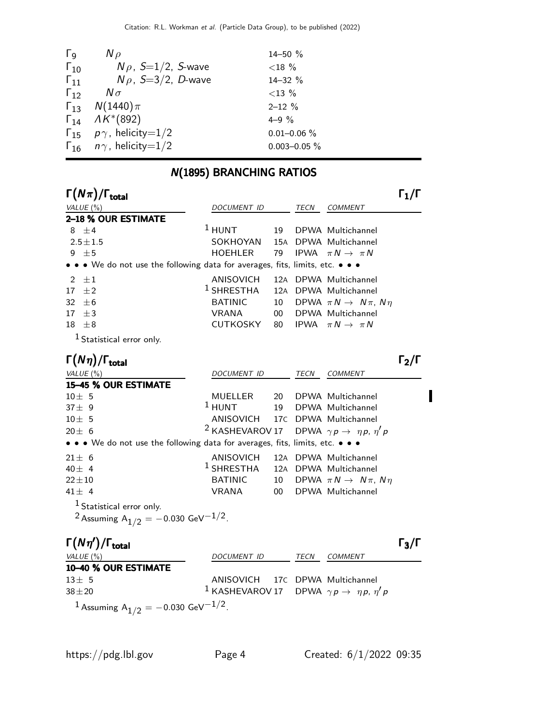| $\Gamma_{\mathsf{Q}}$ | $N \rho$                               | 14-50 %           |
|-----------------------|----------------------------------------|-------------------|
| $\Gamma_{10}$         | $N \rho$ , S=1/2, S-wave               | ${<}18%$          |
| $\Gamma_{11}$         | $N\rho$ , S=3/2, D-wave                | 14-32 %           |
| $\Gamma_{12}$         | $N\sigma$                              | ${<}13\%$         |
|                       | $\Gamma_{13}$ $N(1440)\pi$             | $2 - 12 \%$       |
|                       | $\Gamma_{14}$ $\Lambda K^{*}(892)$     | $4 - 9\%$         |
|                       | $\Gamma_{15}$ $p\gamma$ , helicity=1/2 | $0.01 - 0.06 \%$  |
|                       | $\Gamma_{16}$ $n\gamma$ , helicity=1/2 | $0.003 - 0.05 \%$ |
|                       |                                        |                   |

# N(1895) BRANCHING RATIOS

| $\Gamma(N\pi)/\Gamma_{\rm total}$                                             |                            |                 |             |                                             | 11/1              |
|-------------------------------------------------------------------------------|----------------------------|-----------------|-------------|---------------------------------------------|-------------------|
| VALUE $(\% )$                                                                 | <b>DOCUMENT ID</b>         |                 | TECN        | <b>COMMENT</b>                              |                   |
| 2-18 % OUR ESTIMATE                                                           |                            |                 |             |                                             |                   |
| 8 $\pm 4$                                                                     | $1$ HUNT                   | 19              |             | DPWA Multichannel                           |                   |
| $2.5 \pm 1.5$                                                                 | SOKHOYAN                   | 15A             |             | DPWA Multichannel                           |                   |
| $9 \pm 5$                                                                     | HOEHLER                    | 79              |             | IPWA $\pi N \rightarrow \pi N$              |                   |
| • • • We do not use the following data for averages, fits, limits, etc. • • • |                            |                 |             |                                             |                   |
| $\pm 1$<br>2                                                                  | ANISOVICH                  |                 |             | 12A DPWA Multichannel                       |                   |
| $+2$<br>17                                                                    | $^1$ SHRESTHA              |                 |             | 12A DPWA Multichannel                       |                   |
| 32<br>$+6$                                                                    | <b>BATINIC</b>             | 10              |             | DPWA $\pi N \rightarrow N \pi$ , $N \eta$   |                   |
| $+3$<br>17                                                                    | <b>VRANA</b>               | 00 <sup>°</sup> |             | DPWA Multichannel                           |                   |
| $\pm 8$<br>18                                                                 | CUTKOSKY                   | 80              |             | IPWA $\pi N \rightarrow \pi N$              |                   |
| $1$ Statistical error only.                                                   |                            |                 |             |                                             |                   |
| $\Gamma(N\eta)/\Gamma_{\rm total}$                                            |                            |                 |             |                                             | $\Gamma_2/\Gamma$ |
| VALUE $(\%)$                                                                  | <b>DOCUMENT ID</b>         |                 | <b>TECN</b> | <b>COMMENT</b>                              |                   |
| 15-45 % OUR ESTIMATE                                                          |                            |                 |             |                                             |                   |
| $10 + 5$                                                                      | MUELLER                    | 20              |             | DPWA Multichannel                           |                   |
| $37 + 9$                                                                      | $1$ HUNT                   | 19              |             | DPWA Multichannel                           |                   |
| $10 + 5$                                                                      | ANISOVICH                  |                 |             | 17C DPWA Multichannel                       |                   |
| $20 + 6$                                                                      | <sup>2</sup> KASHEVAROV 17 |                 |             | DPWA $\gamma p \rightarrow \eta p, \eta' p$ |                   |
| • • • We do not use the following data for averages, fits, limits, etc. • • • |                            |                 |             |                                             |                   |
| $21 + 6$                                                                      | ANISOVICH                  |                 |             | 12A DPWA Multichannel                       |                   |
| $40 \pm 4$                                                                    | $1$ SHRESTHA               |                 |             | 12A DPWA Multichannel                       |                   |
| $22 + 10$                                                                     | <b>BATINIC</b>             | 10              |             | DPWA $\pi N \rightarrow N \pi$ , $N \eta$   |                   |
| $41 \pm 4$                                                                    | <b>VRANA</b>               | 00 <sup>1</sup> |             | DPWA Multichannel                           |                   |
| <sup>1</sup> Statistical error only.                                          |                            |                 |             |                                             |                   |
| <sup>2</sup> Assuming $A_{1/2} = -0.030 \text{ GeV}^{-1/2}$ .                 |                            |                 |             |                                             |                   |

| $\Gamma(N\eta')/\Gamma_{\rm total}$                           |                                                                        |      |                | $\Gamma_3/\Gamma$ |
|---------------------------------------------------------------|------------------------------------------------------------------------|------|----------------|-------------------|
| VALUE (%)                                                     | <i>DOCUMENT ID</i>                                                     | TECN | <i>COMMENT</i> |                   |
| 10-40 % OUR ESTIMATE                                          |                                                                        |      |                |                   |
| $13 \pm 5$                                                    | ANISOVICH 17C DPWA Multichannel                                        |      |                |                   |
| $38 + 20$                                                     | <sup>1</sup> KASHEVAROV 17 DPWA $\gamma p \rightarrow \eta p, \eta' p$ |      |                |                   |
| <sup>1</sup> Assuming $A_{1/2} = -0.030 \text{ GeV}^{-1/2}$ . |                                                                        |      |                |                   |

 $\blacksquare$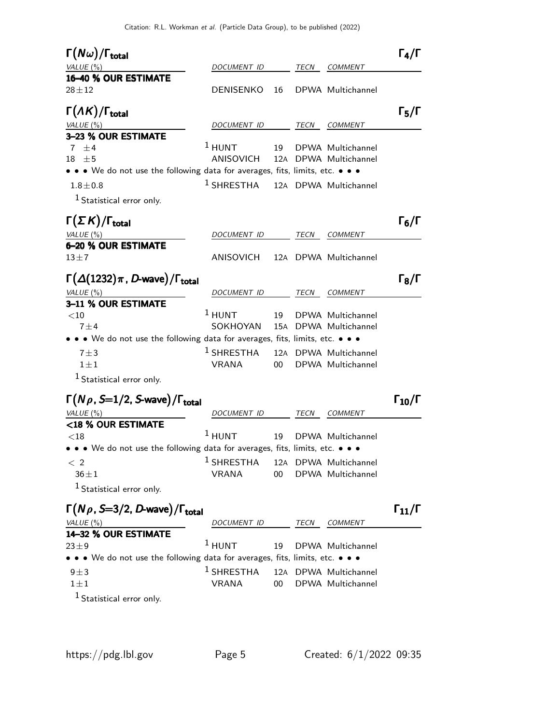| $\Gamma(N\omega)/\Gamma_{\rm total}$<br>VALUE (%)                                            | <i>DOCUMENT ID</i>            |        | TECN | <b>COMMENT</b>                             | $\Gamma_4/\Gamma$    |
|----------------------------------------------------------------------------------------------|-------------------------------|--------|------|--------------------------------------------|----------------------|
| 16-40 % OUR ESTIMATE<br>$28 + 12$                                                            | <b>DENISENKO</b>              | 16     |      | DPWA Multichannel                          |                      |
| $\Gamma(\Lambda K)/\Gamma_{\rm total}$<br>VALUE (%)<br>3-23 % OUR ESTIMATE                   | DOCUMENT ID                   |        | TECN | <b>COMMENT</b>                             | $\Gamma_5/\Gamma$    |
| 7 $\pm$ 4<br>$18 \pm 5$                                                                      | $1$ HUNT<br>ANISOVICH         | 19     |      | DPWA Multichannel<br>12A DPWA Multichannel |                      |
| • • • We do not use the following data for averages, fits, limits, etc. • • •<br>$1.8 + 0.8$ | $^1$ SHRESTHA                 |        |      | 12A DPWA Multichannel                      |                      |
| <sup>1</sup> Statistical error only.                                                         |                               |        |      |                                            |                      |
| $\Gamma(\Sigma K)/\Gamma_{\rm total}$<br>VALUE $(\%)$                                        | <i>DOCUMENT ID</i>            |        | TECN | <b>COMMENT</b>                             | $\Gamma_6/\Gamma$    |
| 6-20 % OUR ESTIMATE                                                                          |                               |        |      |                                            |                      |
| $13 \pm 7$                                                                                   | ANISOVICH                     |        |      | 12A DPWA Multichannel                      |                      |
| $\Gamma(\Delta(1232)\pi$ , D-wave)/ $\Gamma_{\rm total}$<br>VALUE $(\%)$                     | DOCUMENT ID                   |        | TECN | COMMENT                                    | $\Gamma_8/\Gamma$    |
| 3-11 % OUR ESTIMATE                                                                          |                               |        |      |                                            |                      |
| $<$ 10<br>$7 + 4$                                                                            | $1$ HUNT<br>SOKHOYAN          | 19     |      | DPWA Multichannel<br>15A DPWA Multichannel |                      |
| • • We do not use the following data for averages, fits, limits, etc. • • •                  |                               |        |      |                                            |                      |
| $7 + 3$<br>$1 \pm 1$                                                                         | $1$ SHRESTHA<br>VRANA         | $00 -$ |      | 12A DPWA Multichannel<br>DPWA Multichannel |                      |
| $1$ Statistical error only.                                                                  |                               |        |      |                                            |                      |
| $\Gamma(N\rho, S=1/2, S$ -wave)/ $\Gamma_{\text{total}}$<br>VALUE (%)                        | DOCUMENT ID                   |        | TECN | <b>COMMENT</b>                             | $\Gamma_{10}/\Gamma$ |
| <18 % OUR ESTIMATE                                                                           |                               |        |      |                                            |                      |
| ${<}18$<br>• • • We do not use the following data for averages, fits, limits, etc. • • •     | $1$ HUNT                      | 19     |      | DPWA Multichannel                          |                      |
| < 2<br>$36 \pm 1$                                                                            | $1$ SHRESTHA<br><b>VRANA</b>  | 00     |      | 12A DPWA Multichannel<br>DPWA Multichannel |                      |
| <sup>1</sup> Statistical error only.                                                         |                               |        |      |                                            |                      |
| $\Gamma(N\rho, S=3/2, D$ -wave)/ $\Gamma_{\text{total}}$                                     |                               |        |      |                                            | $\Gamma_{11}/\Gamma$ |
| VALUE (%)<br>14-32 % OUR ESTIMATE                                                            | <i>DOCUMENT ID</i>            |        | TECN | <b>COMMENT</b>                             |                      |
| $23 \pm 9$                                                                                   | $1$ HUNT                      | 19     |      | DPWA Multichannel                          |                      |
| • • • We do not use the following data for averages, fits, limits, etc. • • •                |                               |        |      |                                            |                      |
| $9 \pm 3$<br>$1 \pm 1$                                                                       | $^1$ SHRESTHA<br><b>VRANA</b> | 00     |      | 12A DPWA Multichannel<br>DPWA Multichannel |                      |
| $1$ Statistical error only.                                                                  |                               |        |      |                                            |                      |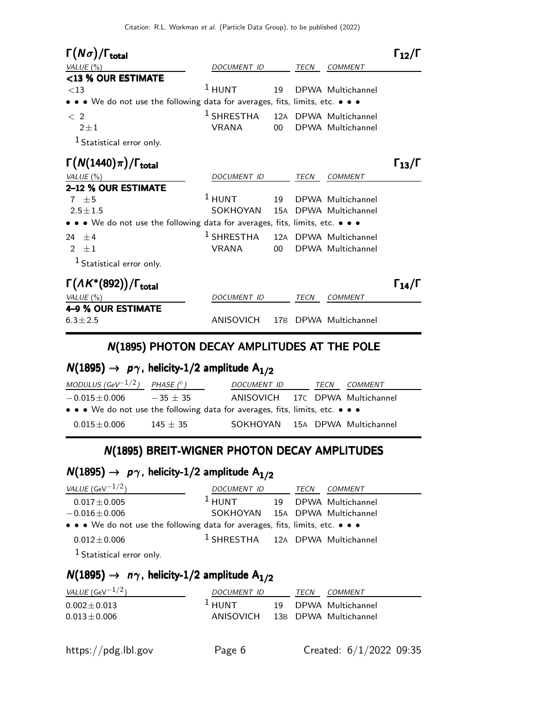| $\Gamma(N\sigma)/\Gamma_{\rm total}$                                                                                                                               |                                        |                        |             |                                            | 112/1                |
|--------------------------------------------------------------------------------------------------------------------------------------------------------------------|----------------------------------------|------------------------|-------------|--------------------------------------------|----------------------|
| VALUE $(\%)$                                                                                                                                                       | <b>DOCUMENT ID</b>                     |                        | <b>TECN</b> | <b>COMMENT</b>                             |                      |
| <13 % OUR ESTIMATE<br>$<$ 13<br>• • • We do not use the following data for averages, fits, limits, etc. • • •                                                      | $1$ HUNT                               | 19                     |             | DPWA Multichannel                          |                      |
| $\langle$ 2<br>$2 + 1$<br><sup>1</sup> Statistical error only.                                                                                                     | <sup>1</sup> SHRESTHA<br><b>VRANA</b>  | 12A<br>00 <sup>°</sup> |             | DPWA Multichannel<br>DPWA Multichannel     |                      |
| $\Gamma(N(1440)\pi)/\Gamma_{\rm total}$<br>VALUE $(\%)$<br>2-12 % OUR ESTIMATE                                                                                     | DOCUMENT ID                            |                        | TECN        | <b>COMMENT</b>                             | $\Gamma_{13}/\Gamma$ |
| $7 \pm 5$<br>$2.5 \pm 1.5$<br>$\bullet\,\bullet\,\bullet\,$ We do not use the following data for averages, fits, limits, etc. $\bullet\,\bullet\,\bullet\,\bullet$ | $1$ HUNT<br>SOKHOYAN                   | 19<br>15A              |             | DPWA Multichannel<br>DPWA Multichannel     |                      |
| $24 + 4$<br>$\mathcal{P}$<br>$\pm 1$<br>$1$ Statistical error only.                                                                                                | $1$ SHRESTHA<br><b>VRANA</b>           | 00 <sup>1</sup>        |             | 12A DPWA Multichannel<br>DPWA Multichannel |                      |
| $\Gamma(\Lambda K^*(892))/\Gamma_{\text{total}}$<br>VALUE $(\%)$<br>4–9 % OUR ESTIMATE<br>$6.3 \pm 2.5$                                                            | <b>DOCUMENT ID</b><br><b>ANISOVICH</b> | 17 <sub>B</sub>        | TECN        | <b>COMMENT</b><br>DPWA Multichannel        | $\Gamma_{14}/\Gamma$ |

#### N(1895) PHOTON DECAY AMPLITUDES AT THE POLE

# $N(1895) \rightarrow p \gamma$ , helicity-1/2 amplitude  $A_{1/2}$

| MODULUS (GeV $^{-1/2}$ ) PHASE (° )                                           |            | DOCUMENT ID                     |  | TECN | COMMENT |
|-------------------------------------------------------------------------------|------------|---------------------------------|--|------|---------|
| $-0.015\!\pm\!0.006$                                                          | $-35 + 35$ | ANISOVICH 17C DPWA Multichannel |  |      |         |
| • • • We do not use the following data for averages, fits, limits, etc. • • • |            |                                 |  |      |         |
| $0.015 + 0.006$                                                               | $145 + 35$ | SOKHOYAN 15A DPWA Multichannel  |  |      |         |

## N(1895) BREIT-WIGNER PHOTON DECAY AMPLITUDES

# $N(1895) \rightarrow p\gamma$ , helicity-1/2 amplitude  $A_{1/2}$

| <i>VALUE</i> (GeV $^{-1/2}$ )                                                 | DOCUMENT ID                                 | TECN | <i>COMMENT</i>       |
|-------------------------------------------------------------------------------|---------------------------------------------|------|----------------------|
| $0.017 \pm 0.005$                                                             | $1$ HUNT                                    |      | 19 DPWA Multichannel |
| $-0.016 \pm 0.006$                                                            | SOKHOYAN 15A DPWA Multichannel              |      |                      |
| • • • We do not use the following data for averages, fits, limits, etc. • • • |                                             |      |                      |
| $0.012 \pm 0.006$                                                             | <sup>1</sup> SHRESTHA 12A DPWA Multichannel |      |                      |
| <sup>1</sup> Statistical error only.                                          |                                             |      |                      |

## $N(1895) \rightarrow n\gamma$ , helicity-1/2 amplitude A<sub>1/2</sub>

| <i>VALUE</i> (GeV $^{-1/2}$ ) | DOCUMENT ID                     | TECN | <i>COMMENT</i>       |
|-------------------------------|---------------------------------|------|----------------------|
| $0.002 \pm 0.013$             | $\overline{1}$ HUNT             |      | 19 DPWA Multichannel |
| $0.013 \pm 0.006$             | ANISOVICH 13B DPWA Multichannel |      |                      |
|                               |                                 |      |                      |
|                               |                                 |      |                      |